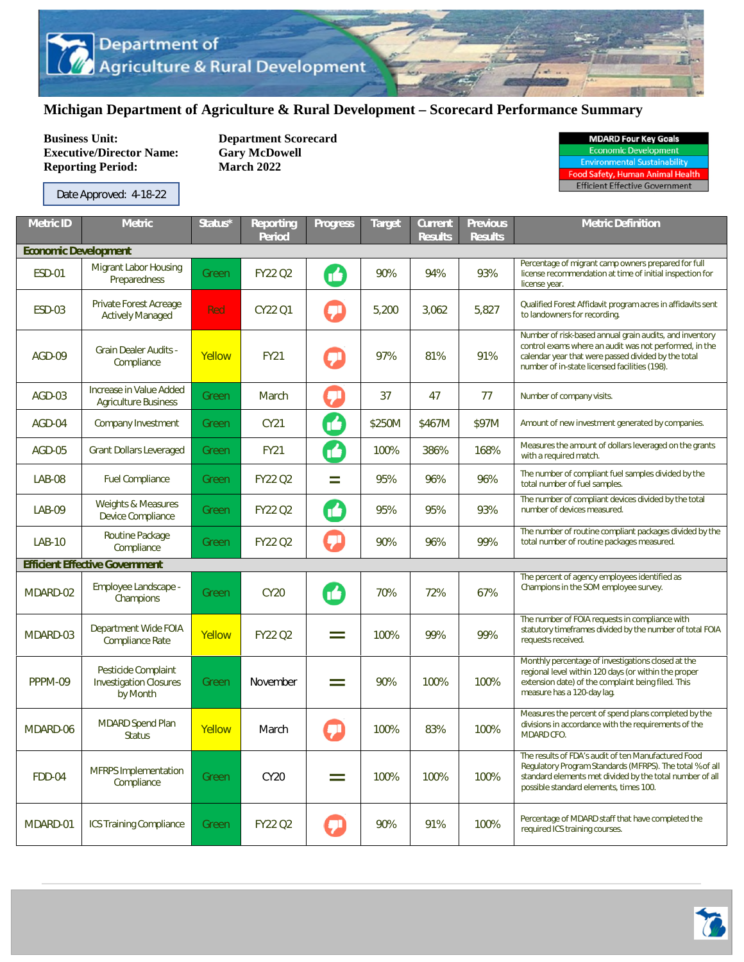## **Michigan Department of Agriculture & Rural Development – Scorecard Performance Summary**

**Business Unit:** Department Scorecard<br> **Executive/Director Name:** Gary McDowell **Executive/Director Name: Reporting Period: March 2022** 

Date Approved: 4-18-22

| <b>MDARD Four Key Goals</b>         |  |
|-------------------------------------|--|
| <b>Economic Development</b>         |  |
| <b>Environmental Sustainability</b> |  |

Food Safety, Human Animal He

Efficient Effective Government

| <b>Metric ID</b>            | <b>Metric</b>                                                    | Status* | Reporting<br><b>Period</b> | <b>Progress</b> | <b>Target</b> | <b>Current</b><br><b>Results</b> | <b>Previous</b><br><b>Results</b> | <b>Metric Definition</b>                                                                                                                                                                                                  |  |
|-----------------------------|------------------------------------------------------------------|---------|----------------------------|-----------------|---------------|----------------------------------|-----------------------------------|---------------------------------------------------------------------------------------------------------------------------------------------------------------------------------------------------------------------------|--|
| <b>Economic Development</b> |                                                                  |         |                            |                 |               |                                  |                                   |                                                                                                                                                                                                                           |  |
| <b>ESD-01</b>               | <b>Migrant Labor Housing</b><br>Preparedness                     | Green   | <b>FY22 Q2</b>             | íó              | 90%           | 94%                              | 93%                               | Percentage of migrant camp owners prepared for full<br>license recommendation at time of initial inspection for<br>license year.                                                                                          |  |
| <b>ESD-03</b>               | Private Forest Acreage<br><b>Actively Managed</b>                | Red     | CY22 O1                    | T۳              | 5,200         | 3,062                            | 5,827                             | Qualified Forest Affidavit program acres in affidavits sent<br>to landowners for recording.                                                                                                                               |  |
| AGD-09                      | <b>Grain Dealer Audits -</b><br>Compliance                       | Yellow  | <b>FY21</b>                |                 | 97%           | 81%                              | 91%                               | Number of risk-based annual grain audits, and inventory<br>control exams where an audit was not performed, in the<br>calendar year that were passed divided by the total<br>number of in-state licensed facilities (198). |  |
| AGD-03                      | Increase in Value Added<br><b>Agriculture Business</b>           | Green   | March                      | 뒤               | 37            | 47                               | 77                                | Number of company visits.                                                                                                                                                                                                 |  |
| AGD-04                      | <b>Company Investment</b>                                        | Green   | CY21                       | B               | \$250M        | \$467M                           | \$97M                             | Amount of new investment generated by companies.                                                                                                                                                                          |  |
| <b>AGD-05</b>               | <b>Grant Dollars Leveraged</b>                                   | Green   | <b>FY21</b>                | ß               | 100%          | 386%                             | 168%                              | Measures the amount of dollars leveraged on the grants<br>with a required match.                                                                                                                                          |  |
| <b>LAB-08</b>               | <b>Fuel Compliance</b>                                           | Green   | <b>FY22 Q2</b>             | $=$             | 95%           | 96%                              | 96%                               | The number of compliant fuel samples divided by the<br>total number of fuel samples.                                                                                                                                      |  |
| <b>LAB-09</b>               | <b>Weights &amp; Measures</b><br>Device Compliance               | Green   | <b>FY22 Q2</b>             | M               | 95%           | 95%                              | 93%                               | The number of compliant devices divided by the total<br>number of devices measured.                                                                                                                                       |  |
| <b>LAB-10</b>               | Routine Package<br>Compliance                                    | Green   | <b>FY22 Q2</b>             | $\mathbf{U}$    | 90%           | 96%                              | 99%                               | The number of routine compliant packages divided by the<br>total number of routine packages measured.                                                                                                                     |  |
|                             | <b>Efficient Effective Government</b>                            |         |                            |                 |               |                                  |                                   |                                                                                                                                                                                                                           |  |
| MDARD-02                    | Employee Landscape -<br>Champions                                | Green   | <b>CY20</b>                | M               | 70%           | 72%                              | 67%                               | The percent of agency employees identified as<br>Champions in the SOM employee survey.                                                                                                                                    |  |
| MDARD-03                    | Department Wide FOIA<br><b>Compliance Rate</b>                   | Yellow  | <b>FY22 Q2</b>             | $=$             | 100%          | 99%                              | 99%                               | The number of FOIA requests in compliance with<br>statutory timeframes divided by the number of total FOIA<br>requests received.                                                                                          |  |
| PPPM-09                     | Pesticide Complaint<br><b>Investigation Closures</b><br>by Month | Green   | November                   | $=$             | 90%           | 100%                             | 100%                              | Monthly percentage of investigations closed at the<br>regional level within 120 days (or within the proper<br>extension date) of the complaint being filed. This<br>measure has a 120-day lag.                            |  |
| MDARD-06                    | <b>MDARD Spend Plan</b><br><b>Status</b>                         | Yellow  | March                      | ヺ               | 100%          | 83%                              | 100%                              | Measures the percent of spend plans completed by the<br>divisions in accordance with the requirements of the<br>MDARD CFO.                                                                                                |  |
| FDD-04                      | <b>MFRPS</b> Implementation<br>Compliance                        | Green   | CY20                       | Ξ               | 100%          | 100%                             | 100%                              | The results of FDA's audit of ten Manufactured Food<br>Regulatory Program Standards (MFRPS). The total % of all<br>standard elements met divided by the total number of all<br>possible standard elements, times 100.     |  |
| MDARD-01                    | ICS Training Compliance                                          | Green   | <b>FY22 Q2</b>             |                 | 90%           | 91%                              | 100%                              | Percentage of MDARD staff that have completed the<br>required ICS training courses.                                                                                                                                       |  |